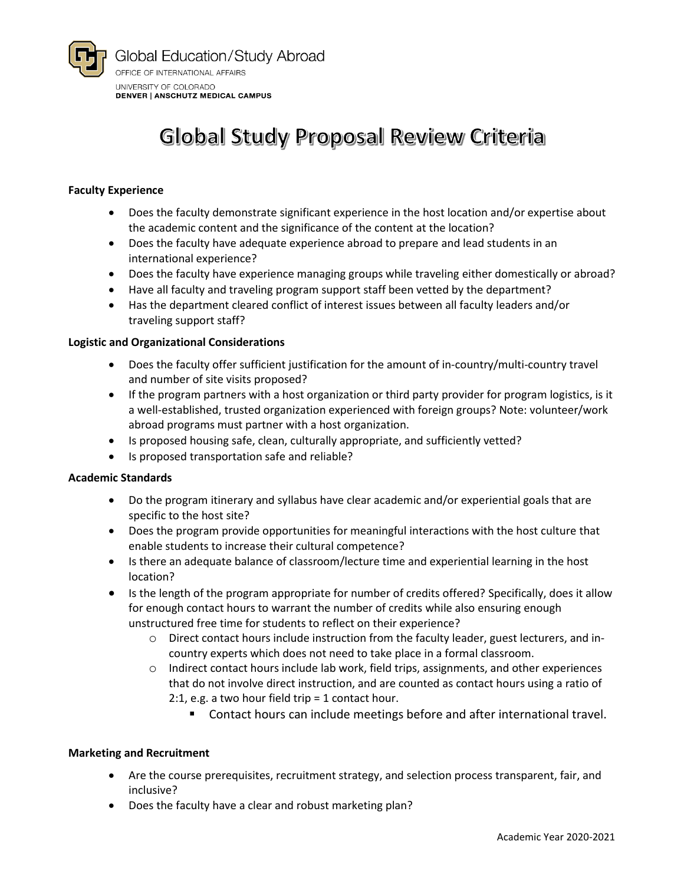

# Global Study Proposal Review Criteria

# **Faculty Experience**

- Does the faculty demonstrate significant experience in the host location and/or expertise about the academic content and the significance of the content at the location?
- Does the faculty have adequate experience abroad to prepare and lead students in an international experience?
- Does the faculty have experience managing groups while traveling either domestically or abroad?
- Have all faculty and traveling program support staff been vetted by the department?
- Has the department cleared conflict of interest issues between all faculty leaders and/or traveling support staff?

# **Logistic and Organizational Considerations**

- Does the faculty offer sufficient justification for the amount of in-country/multi-country travel and number of site visits proposed?
- If the program partners with a host organization or third party provider for program logistics, is it a well-established, trusted organization experienced with foreign groups? Note: volunteer/work abroad programs must partner with a host organization.
- Is proposed housing safe, clean, culturally appropriate, and sufficiently vetted?
- Is proposed transportation safe and reliable?

# **Academic Standards**

- Do the program itinerary and syllabus have clear academic and/or experiential goals that are specific to the host site?
- Does the program provide opportunities for meaningful interactions with the host culture that enable students to increase their cultural competence?
- Is there an adequate balance of classroom/lecture time and experiential learning in the host location?
- Is the length of the program appropriate for number of credits offered? Specifically, does it allow for enough contact hours to warrant the number of credits while also ensuring enough unstructured free time for students to reflect on their experience?
	- o Direct contact hours include instruction from the faculty leader, guest lecturers, and incountry experts which does not need to take place in a formal classroom.
	- o Indirect contact hours include lab work, field trips, assignments, and other experiences that do not involve direct instruction, and are counted as contact hours using a ratio of 2:1, e.g. a two hour field trip = 1 contact hour.
		- Contact hours can include meetings before and after international travel.

#### **Marketing and Recruitment**

- Are the course prerequisites, recruitment strategy, and selection process transparent, fair, and inclusive?
- Does the faculty have a clear and robust marketing plan?